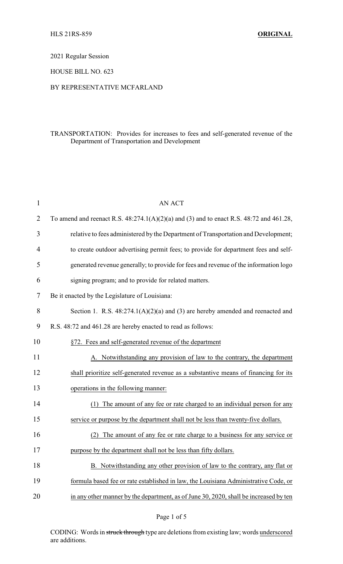2021 Regular Session

HOUSE BILL NO. 623

## BY REPRESENTATIVE MCFARLAND

## TRANSPORTATION: Provides for increases to fees and self-generated revenue of the Department of Transportation and Development

| $\mathbf{1}$ | <b>AN ACT</b>                                                                                  |
|--------------|------------------------------------------------------------------------------------------------|
| 2            | To amend and reenact R.S. $48:274.1(A)(2)(a)$ and (3) and to enact R.S. $48:72$ and $461.28$ , |
| 3            | relative to fees administered by the Department of Transportation and Development;             |
| 4            | to create outdoor advertising permit fees; to provide for department fees and self-            |
| 5            | generated revenue generally; to provide for fees and revenue of the information logo           |
| 6            | signing program; and to provide for related matters.                                           |
| 7            | Be it enacted by the Legislature of Louisiana:                                                 |
| 8            | Section 1. R.S. $48:274.1(A)(2)(a)$ and (3) are hereby amended and reenacted and               |
| 9            | R.S. 48:72 and 461.28 are hereby enacted to read as follows:                                   |
| 10           | §72. Fees and self-generated revenue of the department                                         |
| 11           | A. Notwithstanding any provision of law to the contrary, the department                        |
| 12           | shall prioritize self-generated revenue as a substantive means of financing for its            |
| 13           | operations in the following manner:                                                            |
| 14           | (1) The amount of any fee or rate charged to an individual person for any                      |
| 15           | service or purpose by the department shall not be less than twenty-five dollars.               |
| 16           | The amount of any fee or rate charge to a business for any service or<br>(2)                   |
| 17           | purpose by the department shall not be less than fifty dollars.                                |
| 18           | B. Notwithstanding any other provision of law to the contrary, any flat or                     |
| 19           | formula based fee or rate established in law, the Louisiana Administrative Code, or            |
| 20           | in any other manner by the department, as of June 30, 2020, shall be increased by ten          |
|              |                                                                                                |

Page 1 of 5

CODING: Words in struck through type are deletions from existing law; words underscored are additions.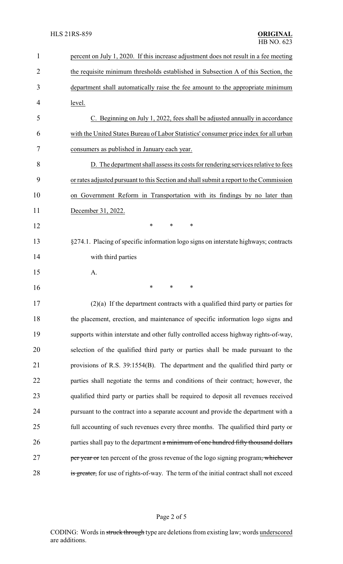| $\mathbf{1}$   | percent on July 1, 2020. If this increase adjustment does not result in a fee meeting   |
|----------------|-----------------------------------------------------------------------------------------|
| $\overline{2}$ | the requisite minimum thresholds established in Subsection A of this Section, the       |
| 3              | department shall automatically raise the fee amount to the appropriate minimum          |
| 4              | level.                                                                                  |
| 5              | C. Beginning on July 1, 2022, fees shall be adjusted annually in accordance             |
| 6              | with the United States Bureau of Labor Statistics' consumer price index for all urban   |
| 7              | consumers as published in January each year.                                            |
| 8              | D. The department shall assess its costs for rendering services relative to fees        |
| 9              | or rates adjusted pursuant to this Section and shall submit a report to the Commission  |
| 10             | on Government Reform in Transportation with its findings by no later than               |
| 11             | December 31, 2022.                                                                      |
| 12             | *<br>*<br>∗                                                                             |
| 13             | §274.1. Placing of specific information logo signs on interstate highways; contracts    |
| 14             | with third parties                                                                      |
| 15             | A.                                                                                      |
| 16             | *<br>*<br>*                                                                             |
| 17             | $(2)(a)$ If the department contracts with a qualified third party or parties for        |
| 18             | the placement, erection, and maintenance of specific information logo signs and         |
| 19             | supports within interstate and other fully controlled access highway rights-of-way,     |
| 20             | selection of the qualified third party or parties shall be made pursuant to the         |
| 21             | provisions of R.S. 39:1554(B). The department and the qualified third party or          |
| 22             | parties shall negotiate the terms and conditions of their contract; however, the        |
| 23             | qualified third party or parties shall be required to deposit all revenues received     |
| 24             | pursuant to the contract into a separate account and provide the department with a      |
| 25             | full accounting of such revenues every three months. The qualified third party or       |
| 26             | parties shall pay to the department a minimum of one hundred fifty thousand dollars     |
| 27             | per year or ten percent of the gross revenue of the logo signing program, whichever     |
| 28             | is greater, for use of rights-of-way. The term of the initial contract shall not exceed |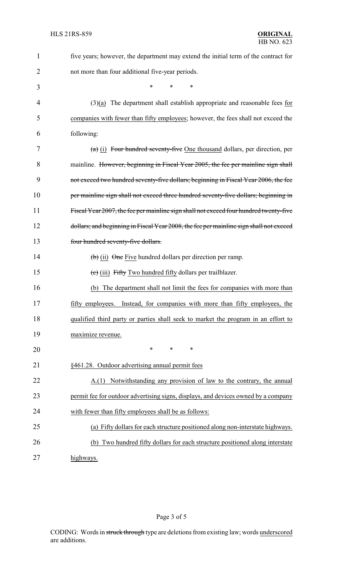| 1              | five years; however, the department may extend the initial term of the contract for      |
|----------------|------------------------------------------------------------------------------------------|
| $\overline{2}$ | not more than four additional five-year periods.                                         |
| 3              | *<br>*<br>∗                                                                              |
| 4              | $(3)(a)$ The department shall establish appropriate and reasonable fees for              |
| 5              | companies with fewer than fifty employees; however, the fees shall not exceed the        |
| 6              | following:                                                                               |
| 7              | $(a)$ (i) Four hundred seventy-five One thousand dollars, per direction, per             |
| 8              | mainline. However, beginning in Fiscal Year 2005, the fee per mainline sign shall        |
| 9              | not exceed two hundred seventy-five dollars; beginning in Fiscal Year 2006, the fee      |
| 10             | per mainline sign shall not exceed three hundred seventy-five dollars; beginning in      |
| 11             | Fiscal Year 2007, the fee per mainline sign shall not exceed four hundred twenty-five    |
| 12             | dollars; and beginning in Fiscal Year 2008, the fee per mainline sign shall not exceed   |
| 13             | four hundred seventy-five dollars.                                                       |
| 14             | $\left(\frac{b}{c}\right)$ (ii) $\Theta$ ne Five hundred dollars per direction per ramp. |
| 15             | $\overline{c}$ (iii) Fifty Two hundred fifty dollars per trail blazer.                   |
| 16             | The department shall not limit the fees for companies with more than<br>(b)              |
| 17             | fifty employees. Instead, for companies with more than fifty employees, the              |
| 18             | qualified third party or parties shall seek to market the program in an effort to        |
| 19             | maximize revenue.                                                                        |
| 20             | ∗<br>∗<br>∗                                                                              |
| 21             | §461.28. Outdoor advertising annual permit fees                                          |
| 22             | Notwithstanding any provision of law to the contrary, the annual<br>A(1)                 |
| 23             | permit fee for outdoor advertising signs, displays, and devices owned by a company       |
| 24             | with fewer than fifty employees shall be as follows:                                     |
| 25             | (a) Fifty dollars for each structure positioned along non-interstate highways.           |
| 26             | Two hundred fifty dollars for each structure positioned along interstate<br>(b)          |
| 27             | highways.                                                                                |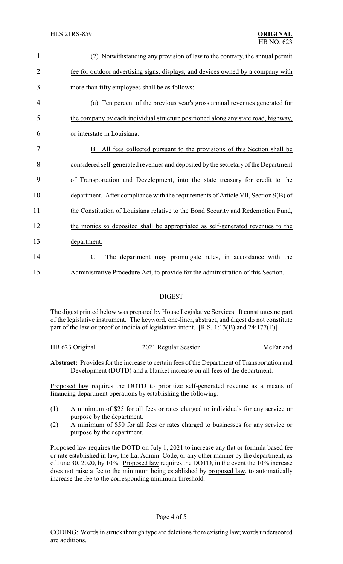| 1              | (2) Notwithstanding any provision of law to the contrary, the annual permit         |
|----------------|-------------------------------------------------------------------------------------|
| $\overline{2}$ | fee for outdoor advertising signs, displays, and devices owned by a company with    |
| 3              | more than fifty employees shall be as follows:                                      |
| 4              | Ten percent of the previous year's gross annual revenues generated for<br>(a)       |
| 5              | the company by each individual structure positioned along any state road, highway,  |
| 6              | or interstate in Louisiana.                                                         |
| 7              | B. All fees collected pursuant to the provisions of this Section shall be           |
| 8              | considered self-generated revenues and deposited by the secretary of the Department |
| 9              | of Transportation and Development, into the state treasury for credit to the        |
| 10             | department. After compliance with the requirements of Article VII, Section 9(B) of  |
| 11             | the Constitution of Louisiana relative to the Bond Security and Redemption Fund,    |
| 12             | the monies so deposited shall be appropriated as self-generated revenues to the     |
| 13             | department.                                                                         |
| 14             | The department may promulgate rules, in accordance with the                         |
| 15             | Administrative Procedure Act, to provide for the administration of this Section.    |
|                |                                                                                     |

## DIGEST

The digest printed below was prepared by House Legislative Services. It constitutes no part of the legislative instrument. The keyword, one-liner, abstract, and digest do not constitute part of the law or proof or indicia of legislative intent. [R.S. 1:13(B) and 24:177(E)]

| HB 623 Original | 2021 Regular Session | McFarland |
|-----------------|----------------------|-----------|
|                 |                      |           |
|                 |                      |           |

**Abstract:** Provides for the increase to certain fees of the Department of Transportation and Development (DOTD) and a blanket increase on all fees of the department.

Proposed law requires the DOTD to prioritize self-generated revenue as a means of financing department operations by establishing the following:

- (1) A minimum of \$25 for all fees or rates charged to individuals for any service or purpose by the department.
- (2) A minimum of \$50 for all fees or rates charged to businesses for any service or purpose by the department.

Proposed law requires the DOTD on July 1, 2021 to increase any flat or formula based fee or rate established in law, the La. Admin. Code, or any other manner by the department, as of June 30, 2020, by 10%. Proposed law requires the DOTD, in the event the 10% increase does not raise a fee to the minimum being established by proposed law, to automatically increase the fee to the corresponding minimum threshold.